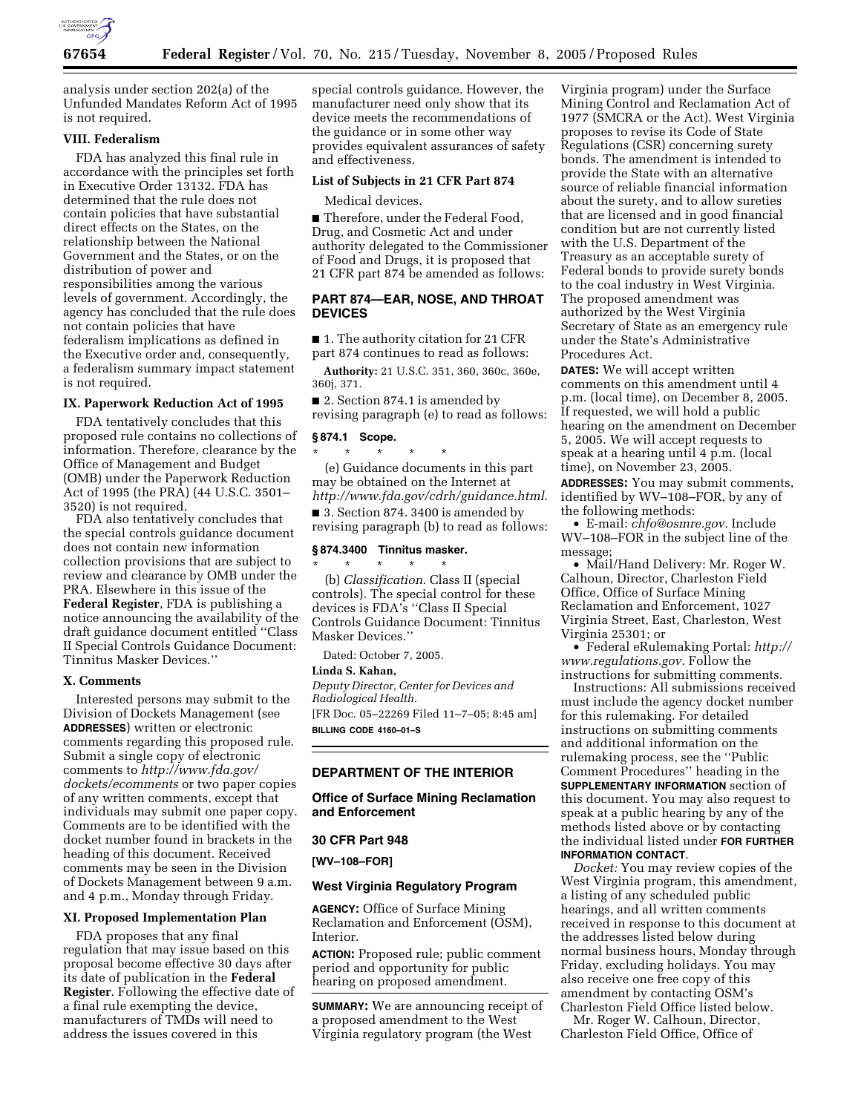

analysis under section 202(a) of the Unfunded Mandates Reform Act of 1995 is not required.

## **VIII. Federalism**

FDA has analyzed this final rule in accordance with the principles set forth in Executive Order 13132. FDA has determined that the rule does not contain policies that have substantial direct effects on the States, on the relationship between the National Government and the States, or on the distribution of power and responsibilities among the various levels of government. Accordingly, the agency has concluded that the rule does not contain policies that have federalism implications as defined in the Executive order and, consequently, a federalism summary impact statement is not required.

### **IX. Paperwork Reduction Act of 1995**

FDA tentatively concludes that this proposed rule contains no collections of information. Therefore, clearance by the Office of Management and Budget (OMB) under the Paperwork Reduction Act of 1995 (the PRA) (44 U.S.C. 3501– 3520) is not required.

FDA also tentatively concludes that the special controls guidance document does not contain new information collection provisions that are subject to review and clearance by OMB under the PRA. Elsewhere in this issue of the **Federal Register**, FDA is publishing a notice announcing the availability of the draft guidance document entitled ''Class II Special Controls Guidance Document: Tinnitus Masker Devices.''

#### **X. Comments**

Interested persons may submit to the Division of Dockets Management (see **ADDRESSES**) written or electronic comments regarding this proposed rule. Submit a single copy of electronic comments to *http://www.fda.gov/ dockets/ecomments* or two paper copies of any written comments, except that individuals may submit one paper copy. Comments are to be identified with the docket number found in brackets in the heading of this document. Received comments may be seen in the Division of Dockets Management between 9 a.m. and 4 p.m., Monday through Friday.

## **XI. Proposed Implementation Plan**

FDA proposes that any final regulation that may issue based on this proposal become effective 30 days after its date of publication in the **Federal Register**. Following the effective date of a final rule exempting the device, manufacturers of TMDs will need to address the issues covered in this

special controls guidance. However, the manufacturer need only show that its device meets the recommendations of the guidance or in some other way provides equivalent assurances of safety and effectiveness.

### **List of Subjects in 21 CFR Part 874**

Medical devices.

■ Therefore, under the Federal Food, Drug, and Cosmetic Act and under authority delegated to the Commissioner of Food and Drugs, it is proposed that 21 CFR part 874 be amended as follows:

## **PART 874—EAR, NOSE, AND THROAT DEVICES**

■ 1. The authority citation for 21 CFR part 874 continues to read as follows:

**Authority:** 21 U.S.C. 351, 360, 360c, 360e, 360j, 371.

■ 2. Section 874.1 is amended by revising paragraph (e) to read as follows:

#### **§ 874.1 Scope.**

\* \* \* \* \* (e) Guidance documents in this part may be obtained on the Internet at

*http://www.fda.gov/cdrh/guidance.html*. ■ 3. Section 874. 3400 is amended by revising paragraph (b) to read as follows:

### **§ 874.3400 Tinnitus masker.**

\* \* \* \* \* (b) *Classification*. Class II (special controls). The special control for these devices is FDA's ''Class II Special Controls Guidance Document: Tinnitus Masker Devices.''

Dated: October 7, 2005.

**Linda S. Kahan,** 

*Deputy Director, Center for Devices and Radiological Health.*  [FR Doc. 05–22269 Filed 11–7–05; 8:45 am]

**BILLING CODE 4160–01–S** 

# **DEPARTMENT OF THE INTERIOR**

**Office of Surface Mining Reclamation and Enforcement** 

**30 CFR Part 948** 

**[WV–108–FOR]** 

#### **West Virginia Regulatory Program**

**AGENCY:** Office of Surface Mining Reclamation and Enforcement (OSM), Interior.

**ACTION:** Proposed rule; public comment period and opportunity for public hearing on proposed amendment.

**SUMMARY:** We are announcing receipt of a proposed amendment to the West Virginia regulatory program (the West

Virginia program) under the Surface Mining Control and Reclamation Act of 1977 (SMCRA or the Act). West Virginia proposes to revise its Code of State Regulations (CSR) concerning surety bonds. The amendment is intended to provide the State with an alternative source of reliable financial information about the surety, and to allow sureties that are licensed and in good financial condition but are not currently listed with the U.S. Department of the Treasury as an acceptable surety of Federal bonds to provide surety bonds to the coal industry in West Virginia. The proposed amendment was authorized by the West Virginia Secretary of State as an emergency rule under the State's Administrative Procedures Act.

**DATES:** We will accept written comments on this amendment until 4 p.m. (local time), on December 8, 2005. If requested, we will hold a public hearing on the amendment on December 5, 2005. We will accept requests to speak at a hearing until 4 p.m. (local time), on November 23, 2005.

**ADDRESSES:** You may submit comments, identified by WV–108–FOR, by any of the following methods:

• E-mail: *chfo@osmre.gov.* Include WV–108–FOR in the subject line of the message;

• Mail/Hand Delivery: Mr. Roger W. Calhoun, Director, Charleston Field Office, Office of Surface Mining Reclamation and Enforcement, 1027 Virginia Street, East, Charleston, West Virginia 25301; or

• Federal eRulemaking Portal: *http:// www.regulations.gov.* Follow the instructions for submitting comments.

Instructions: All submissions received must include the agency docket number for this rulemaking. For detailed instructions on submitting comments and additional information on the rulemaking process, see the ''Public Comment Procedures'' heading in the **SUPPLEMENTARY INFORMATION** section of this document. You may also request to speak at a public hearing by any of the methods listed above or by contacting the individual listed under **FOR FURTHER INFORMATION CONTACT**.

*Docket:* You may review copies of the West Virginia program, this amendment, a listing of any scheduled public hearings, and all written comments received in response to this document at the addresses listed below during normal business hours, Monday through Friday, excluding holidays. You may also receive one free copy of this amendment by contacting OSM's Charleston Field Office listed below.

Mr. Roger W. Calhoun, Director, Charleston Field Office, Office of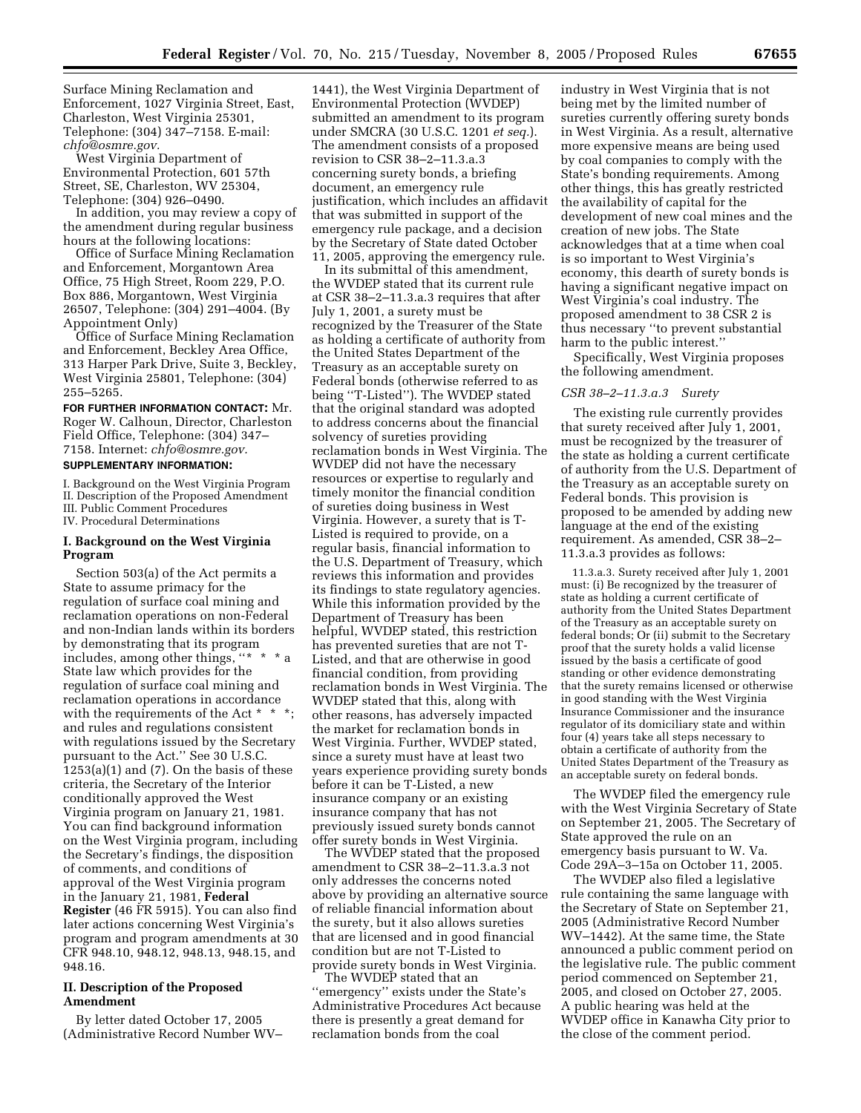Surface Mining Reclamation and Enforcement, 1027 Virginia Street, East, Charleston, West Virginia 25301, Telephone: (304) 347–7158. E-mail: *chfo@osmre.gov.* 

West Virginia Department of Environmental Protection, 601 57th Street, SE, Charleston, WV 25304, Telephone: (304) 926–0490.

In addition, you may review a copy of the amendment during regular business hours at the following locations:

Office of Surface Mining Reclamation and Enforcement, Morgantown Area Office, 75 High Street, Room 229, P.O. Box 886, Morgantown, West Virginia 26507, Telephone: (304) 291–4004. (By Appointment Only)

Office of Surface Mining Reclamation and Enforcement, Beckley Area Office, 313 Harper Park Drive, Suite 3, Beckley, West Virginia 25801, Telephone: (304) 255–5265.

**FOR FURTHER INFORMATION CONTACT:** Mr. Roger W. Calhoun, Director, Charleston Field Office, Telephone: (304) 347– 7158. Internet: *chfo@osmre.gov.*  **SUPPLEMENTARY INFORMATION:** 

I. Background on the West Virginia Program II. Description of the Proposed Amendment III. Public Comment Procedures IV. Procedural Determinations

## **I. Background on the West Virginia Program**

Section 503(a) of the Act permits a State to assume primacy for the regulation of surface coal mining and reclamation operations on non-Federal and non-Indian lands within its borders by demonstrating that its program includes, among other things, ''\* \* \* a State law which provides for the regulation of surface coal mining and reclamation operations in accordance with the requirements of the Act \* \* \*; and rules and regulations consistent with regulations issued by the Secretary pursuant to the Act.'' See 30 U.S.C.  $1253(a)(1)$  and  $(7)$ . On the basis of these criteria, the Secretary of the Interior conditionally approved the West Virginia program on January 21, 1981. You can find background information on the West Virginia program, including the Secretary's findings, the disposition of comments, and conditions of approval of the West Virginia program in the January 21, 1981, **Federal Register** (46 FR 5915). You can also find later actions concerning West Virginia's program and program amendments at 30 CFR 948.10, 948.12, 948.13, 948.15, and 948.16.

## **II. Description of the Proposed Amendment**

By letter dated October 17, 2005 (Administrative Record Number WV–

1441), the West Virginia Department of Environmental Protection (WVDEP) submitted an amendment to its program under SMCRA (30 U.S.C. 1201 *et seq.*). The amendment consists of a proposed revision to CSR 38–2–11.3.a.3 concerning surety bonds, a briefing document, an emergency rule justification, which includes an affidavit that was submitted in support of the emergency rule package, and a decision by the Secretary of State dated October 11, 2005, approving the emergency rule.

In its submittal of this amendment, the WVDEP stated that its current rule at CSR 38–2–11.3.a.3 requires that after July 1, 2001, a surety must be recognized by the Treasurer of the State as holding a certificate of authority from the United States Department of the Treasury as an acceptable surety on Federal bonds (otherwise referred to as being ''T-Listed''). The WVDEP stated that the original standard was adopted to address concerns about the financial solvency of sureties providing reclamation bonds in West Virginia. The WVDEP did not have the necessary resources or expertise to regularly and timely monitor the financial condition of sureties doing business in West Virginia. However, a surety that is T-Listed is required to provide, on a regular basis, financial information to the U.S. Department of Treasury, which reviews this information and provides its findings to state regulatory agencies. While this information provided by the Department of Treasury has been helpful, WVDEP stated, this restriction has prevented sureties that are not T-Listed, and that are otherwise in good financial condition, from providing reclamation bonds in West Virginia. The WVDEP stated that this, along with other reasons, has adversely impacted the market for reclamation bonds in West Virginia. Further, WVDEP stated, since a surety must have at least two years experience providing surety bonds before it can be T-Listed, a new insurance company or an existing insurance company that has not previously issued surety bonds cannot offer surety bonds in West Virginia.

The WVDEP stated that the proposed amendment to CSR 38–2–11.3.a.3 not only addresses the concerns noted above by providing an alternative source of reliable financial information about the surety, but it also allows sureties that are licensed and in good financial condition but are not T-Listed to provide surety bonds in West Virginia.

The WVDEP stated that an ''emergency'' exists under the State's Administrative Procedures Act because there is presently a great demand for reclamation bonds from the coal

industry in West Virginia that is not being met by the limited number of sureties currently offering surety bonds in West Virginia. As a result, alternative more expensive means are being used by coal companies to comply with the State's bonding requirements. Among other things, this has greatly restricted the availability of capital for the development of new coal mines and the creation of new jobs. The State acknowledges that at a time when coal is so important to West Virginia's economy, this dearth of surety bonds is having a significant negative impact on West Virginia's coal industry. The proposed amendment to 38 CSR 2 is thus necessary ''to prevent substantial harm to the public interest.''

Specifically, West Virginia proposes the following amendment.

## *CSR 38–2–11.3.a.3 Surety*

The existing rule currently provides that surety received after July 1, 2001, must be recognized by the treasurer of the state as holding a current certificate of authority from the U.S. Department of the Treasury as an acceptable surety on Federal bonds. This provision is proposed to be amended by adding new language at the end of the existing requirement. As amended, CSR 38–2– 11.3.a.3 provides as follows:

11.3.a.3. Surety received after July 1, 2001 must: (i) Be recognized by the treasurer of state as holding a current certificate of authority from the United States Department of the Treasury as an acceptable surety on federal bonds; Or (ii) submit to the Secretary proof that the surety holds a valid license issued by the basis a certificate of good standing or other evidence demonstrating that the surety remains licensed or otherwise in good standing with the West Virginia Insurance Commissioner and the insurance regulator of its domiciliary state and within four (4) years take all steps necessary to obtain a certificate of authority from the United States Department of the Treasury as an acceptable surety on federal bonds.

The WVDEP filed the emergency rule with the West Virginia Secretary of State on September 21, 2005. The Secretary of State approved the rule on an emergency basis pursuant to W. Va. Code 29A–3–15a on October 11, 2005.

The WVDEP also filed a legislative rule containing the same language with the Secretary of State on September 21, 2005 (Administrative Record Number WV–1442). At the same time, the State announced a public comment period on the legislative rule. The public comment period commenced on September 21, 2005, and closed on October 27, 2005. A public hearing was held at the WVDEP office in Kanawha City prior to the close of the comment period.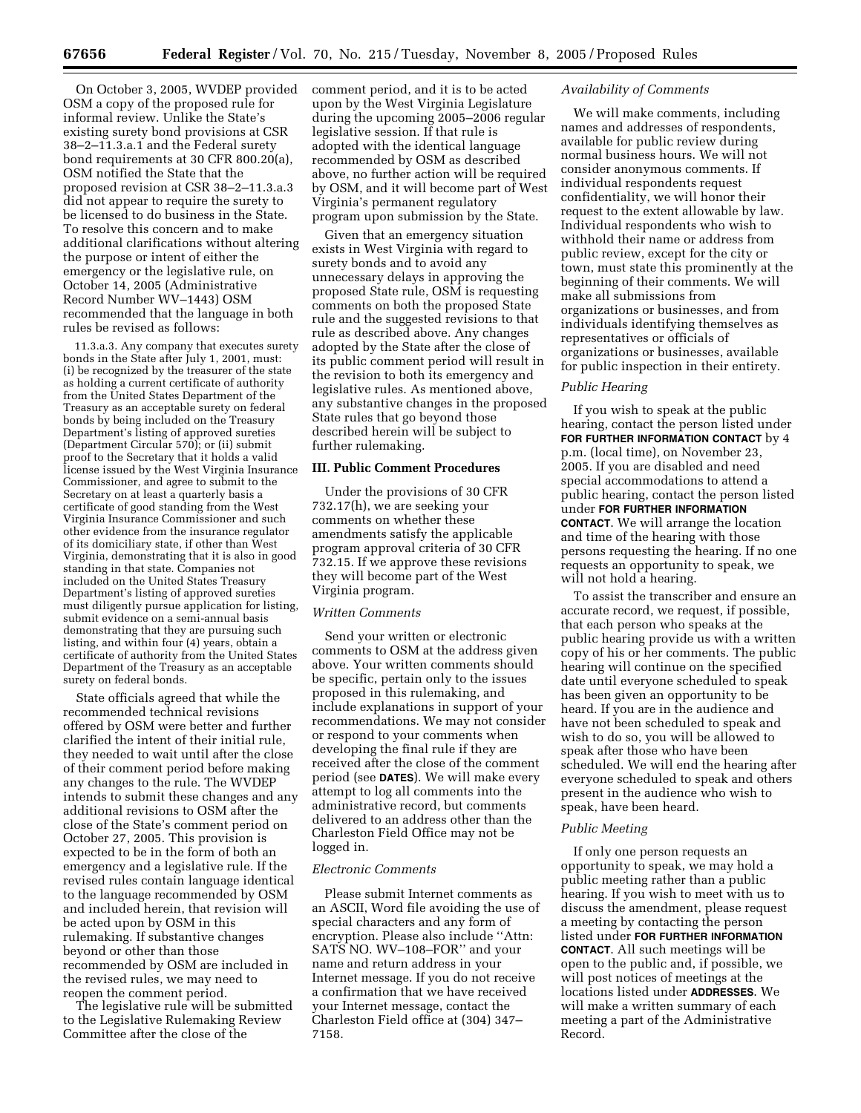On October 3, 2005, WVDEP provided OSM a copy of the proposed rule for informal review. Unlike the State's existing surety bond provisions at CSR 38–2–11.3.a.1 and the Federal surety bond requirements at 30 CFR 800.20(a), OSM notified the State that the proposed revision at CSR 38–2–11.3.a.3 did not appear to require the surety to be licensed to do business in the State. To resolve this concern and to make additional clarifications without altering the purpose or intent of either the emergency or the legislative rule, on October 14, 2005 (Administrative Record Number WV–1443) OSM recommended that the language in both rules be revised as follows:

11.3.a.3. Any company that executes surety bonds in the State after July 1, 2001, must: (i) be recognized by the treasurer of the state as holding a current certificate of authority from the United States Department of the Treasury as an acceptable surety on federal bonds by being included on the Treasury Department's listing of approved sureties (Department Circular 570); or (ii) submit proof to the Secretary that it holds a valid license issued by the West Virginia Insurance Commissioner, and agree to submit to the Secretary on at least a quarterly basis a certificate of good standing from the West Virginia Insurance Commissioner and such other evidence from the insurance regulator of its domiciliary state, if other than West Virginia, demonstrating that it is also in good standing in that state. Companies not included on the United States Treasury Department's listing of approved sureties must diligently pursue application for listing, submit evidence on a semi-annual basis demonstrating that they are pursuing such listing, and within four (4) years, obtain a certificate of authority from the United States Department of the Treasury as an acceptable surety on federal bonds.

State officials agreed that while the recommended technical revisions offered by OSM were better and further clarified the intent of their initial rule, they needed to wait until after the close of their comment period before making any changes to the rule. The WVDEP intends to submit these changes and any additional revisions to OSM after the close of the State's comment period on October 27, 2005. This provision is expected to be in the form of both an emergency and a legislative rule. If the revised rules contain language identical to the language recommended by OSM and included herein, that revision will be acted upon by OSM in this rulemaking. If substantive changes beyond or other than those recommended by OSM are included in the revised rules, we may need to reopen the comment period.

The legislative rule will be submitted to the Legislative Rulemaking Review Committee after the close of the

comment period, and it is to be acted upon by the West Virginia Legislature during the upcoming 2005–2006 regular legislative session. If that rule is adopted with the identical language recommended by OSM as described above, no further action will be required by OSM, and it will become part of West Virginia's permanent regulatory program upon submission by the State.

Given that an emergency situation exists in West Virginia with regard to surety bonds and to avoid any unnecessary delays in approving the proposed State rule, OSM is requesting comments on both the proposed State rule and the suggested revisions to that rule as described above. Any changes adopted by the State after the close of its public comment period will result in the revision to both its emergency and legislative rules. As mentioned above, any substantive changes in the proposed State rules that go beyond those described herein will be subject to further rulemaking.

#### **III. Public Comment Procedures**

Under the provisions of 30 CFR 732.17(h), we are seeking your comments on whether these amendments satisfy the applicable program approval criteria of 30 CFR 732.15. If we approve these revisions they will become part of the West Virginia program.

## *Written Comments*

Send your written or electronic comments to OSM at the address given above. Your written comments should be specific, pertain only to the issues proposed in this rulemaking, and include explanations in support of your recommendations. We may not consider or respond to your comments when developing the final rule if they are received after the close of the comment period (see **DATES**). We will make every attempt to log all comments into the administrative record, but comments delivered to an address other than the Charleston Field Office may not be logged in.

#### *Electronic Comments*

Please submit Internet comments as an ASCII, Word file avoiding the use of special characters and any form of encryption. Please also include ''Attn: SATS NO. WV–108–FOR'' and your name and return address in your Internet message. If you do not receive a confirmation that we have received your Internet message, contact the Charleston Field office at (304) 347– 7158.

## *Availability of Comments*

We will make comments, including names and addresses of respondents, available for public review during normal business hours. We will not consider anonymous comments. If individual respondents request confidentiality, we will honor their request to the extent allowable by law. Individual respondents who wish to withhold their name or address from public review, except for the city or town, must state this prominently at the beginning of their comments. We will make all submissions from organizations or businesses, and from individuals identifying themselves as representatives or officials of organizations or businesses, available for public inspection in their entirety.

### *Public Hearing*

If you wish to speak at the public hearing, contact the person listed under **FOR FURTHER INFORMATION CONTACT** by 4 p.m. (local time), on November 23, 2005. If you are disabled and need special accommodations to attend a public hearing, contact the person listed under **FOR FURTHER INFORMATION CONTACT**. We will arrange the location and time of the hearing with those persons requesting the hearing. If no one requests an opportunity to speak, we will not hold a hearing.

To assist the transcriber and ensure an accurate record, we request, if possible, that each person who speaks at the public hearing provide us with a written copy of his or her comments. The public hearing will continue on the specified date until everyone scheduled to speak has been given an opportunity to be heard. If you are in the audience and have not been scheduled to speak and wish to do so, you will be allowed to speak after those who have been scheduled. We will end the hearing after everyone scheduled to speak and others present in the audience who wish to speak, have been heard.

### *Public Meeting*

If only one person requests an opportunity to speak, we may hold a public meeting rather than a public hearing. If you wish to meet with us to discuss the amendment, please request a meeting by contacting the person listed under **FOR FURTHER INFORMATION CONTACT**. All such meetings will be open to the public and, if possible, we will post notices of meetings at the locations listed under **ADDRESSES**. We will make a written summary of each meeting a part of the Administrative Record.